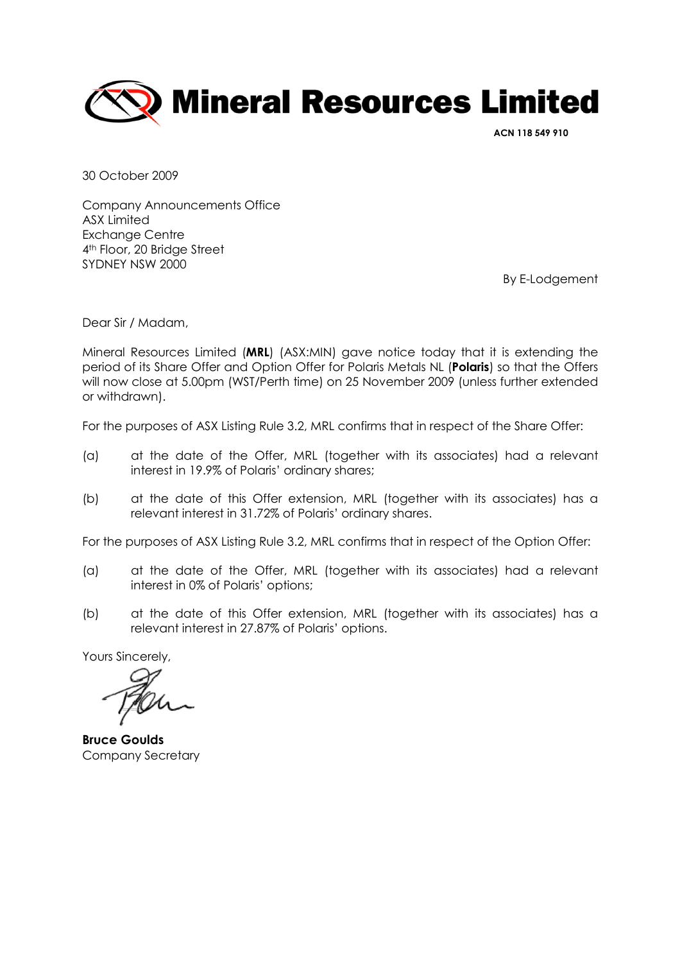

ACN 118 549 910

30 October 2009

Company Announcements Office ASX Limited Exchange Centre 4th Floor, 20 Bridge Street SYDNEY NSW 2000

By E-Lodgement

Dear Sir / Madam,

Mineral Resources Limited (MRL) (ASX:MIN) gave notice today that it is extending the period of its Share Offer and Option Offer for Polaris Metals NL (Polaris) so that the Offers will now close at 5.00pm (WST/Perth time) on 25 November 2009 (unless further extended or withdrawn).

For the purposes of ASX Listing Rule 3.2, MRL confirms that in respect of the Share Offer:

- (a) at the date of the Offer, MRL (together with its associates) had a relevant interest in 19.9% of Polaris' ordinary shares;
- (b) at the date of this Offer extension, MRL (together with its associates) has a relevant interest in 31.72% of Polaris' ordinary shares.

For the purposes of ASX Listing Rule 3.2, MRL confirms that in respect of the Option Offer:

- (a) at the date of the Offer, MRL (together with its associates) had a relevant interest in 0% of Polaris' options;
- (b) at the date of this Offer extension, MRL (together with its associates) has a relevant interest in 27.87% of Polaris' options.

Yours Sincerely,

Bruce Goulds Company Secretary